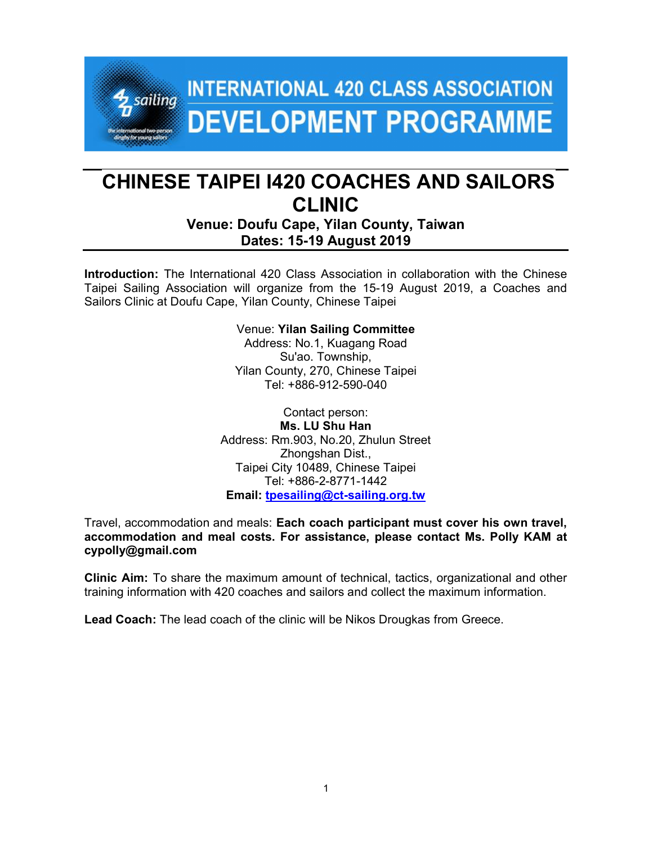# **INTERNATIONAL 420 CLASS ASSOCIATION**  $4$  sailing **DEVELOPMENT PROGRAMME**

# CHINESE TAIPEI I420 COACHES AND SAILORS CLINIC

Venue: Doufu Cape, Yilan County, Taiwan Dates: 15-19 August 2019

Introduction: The International 420 Class Association in collaboration with the Chinese Taipei Sailing Association will organize from the 15-19 August 2019, a Coaches and Sailors Clinic at Doufu Cape, Yilan County, Chinese Taipei

> Venue: Yilan Sailing Committee Address: No.1, Kuagang Road Su'ao. Township, Yilan County, 270, Chinese Taipei Tel: +886-912-590-040

Contact person: Ms. LU Shu Han Address: Rm.903, No.20, Zhulun Street Zhongshan Dist., Taipei City 10489, Chinese Taipei Tel: +886-2-8771-1442 Email: tpesailing@ct-sailing.org.tw

Travel, accommodation and meals: Each coach participant must cover his own travel, accommodation and meal costs. For assistance, please contact Ms. Polly KAM at cypolly@gmail.com

Clinic Aim: To share the maximum amount of technical, tactics, organizational and other training information with 420 coaches and sailors and collect the maximum information.

Lead Coach: The lead coach of the clinic will be Nikos Drougkas from Greece.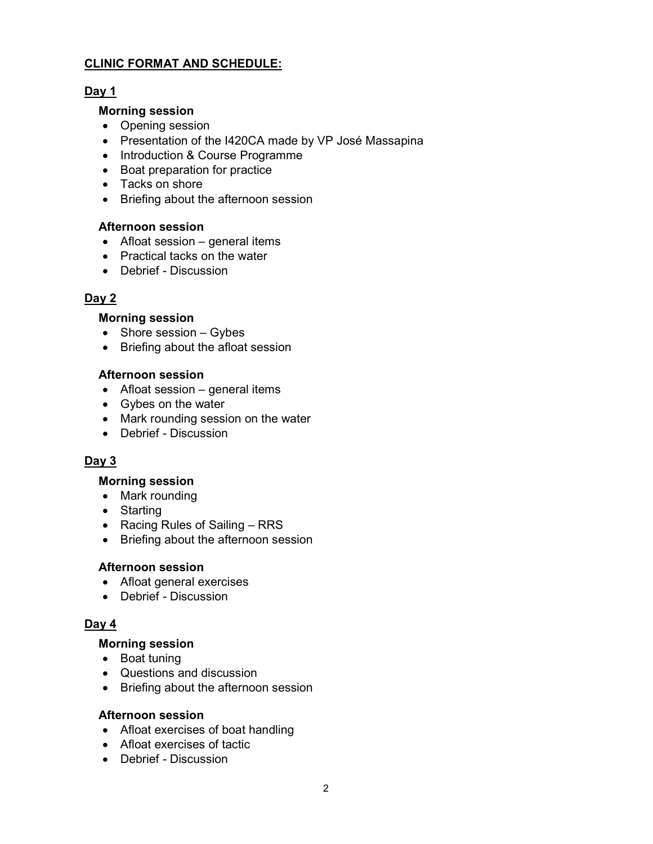# CLINIC FORMAT AND SCHEDULE:

# Day 1

#### Morning session

- Opening session
- Presentation of the I420CA made by VP José Massapina
- Introduction & Course Programme
- Boat preparation for practice
- Tacks on shore
- Briefing about the afternoon session

#### Afternoon session

- Afloat session general items
- Practical tacks on the water
- Debrief Discussion

# Day 2

#### Morning session

- $\bullet$  Shore session Gybes
- Briefing about the afloat session

#### Afternoon session

- Afloat session general items
- Gybes on the water
- Mark rounding session on the water
- Debrief Discussion

# Day 3

#### Morning session

- Mark rounding
- Starting
- Racing Rules of Sailing RRS
- Briefing about the afternoon session

#### Afternoon session

- Afloat general exercises
- Debrief Discussion

# Day 4

#### Morning session

- Boat tuning
- Questions and discussion
- Briefing about the afternoon session

#### Afternoon session

- Afloat exercises of boat handling
- Afloat exercises of tactic
- Debrief Discussion